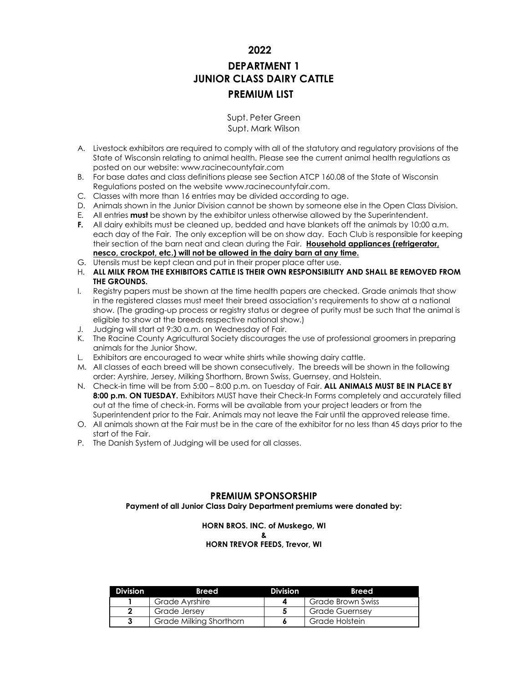**2022**

# **DEPARTMENT 1 JUNIOR CLASS DAIRY CATTLE PREMIUM LIST**

Supt. Peter Green Supt. Mark Wilson

- A. Livestock exhibitors are required to comply with all of the statutory and regulatory provisions of the State of Wisconsin relating to animal health. Please see the current animal health regulations as posted on our website: [www.racinecountyfair.com](http://www.racinecountyfair.com/)
- B. For base dates and class definitions please see Section ATCP 160.08 of the State of Wisconsin Regulations posted on the website [www.racinecountyfair.com.](http://www.racinecountyfair.com/)
- C. Classes with more than 16 entries may be divided according to age.
- D. Animals shown in the Junior Division cannot be shown by someone else in the Open Class Division.
- E. All entries **must** be shown by the exhibitor unless otherwise allowed by the Superintendent.
- **F.** All dairy exhibits must be cleaned up, bedded and have blankets off the animals by 10:00 a.m. each day of the Fair. The only exception will be on show day. Each Club is responsible for keeping their section of the barn neat and clean during the Fair. **Household appliances (refrigerator, nesco, crockpot, etc.) will not be allowed in the dairy barn at any time.**
- G. Utensils must be kept clean and put in their proper place after use.
- H. **ALL MILK FROM THE EXHIBITORS CATTLE IS THEIR OWN RESPONSIBILITY AND SHALL BE REMOVED FROM THE GROUNDS.**
- I. Registry papers must be shown at the time health papers are checked. Grade animals that show in the registered classes must meet their breed association's requirements to show at a national show. (The grading-up process or registry status or degree of purity must be such that the animal is eligible to show at the breeds respective national show.)
- J. Judging will start at 9:30 a.m. on Wednesday of Fair.
- K. The Racine County Agricultural Society discourages the use of professional groomers in preparing animals for the Junior Show.
- L. Exhibitors are encouraged to wear white shirts while showing dairy cattle.
- M. All classes of each breed will be shown consecutively. The breeds will be shown in the following order: Ayrshire, Jersey, Milking Shorthorn, Brown Swiss, Guernsey, and Holstein.
- N. Check-in time will be from 5:00 8:00 p.m. on Tuesday of Fair. **ALL ANIMALS MUST BE IN PLACE BY 8:00 p.m. ON TUESDAY.** Exhibitors MUST have their Check-In Forms completely and accurately filled out at the time of check-in. Forms will be available from your project leaders or from the Superintendent prior to the Fair. Animals may not leave the Fair until the approved release time.
- O. All animals shown at the Fair must be in the care of the exhibitor for no less than 45 days prior to the start of the Fair.
- P. The Danish System of Judging will be used for all classes.

# **PREMIUM SPONSORSHIP**

**Payment of all Junior Class Dairy Department premiums were donated by:**

# **HORN BROS. INC. of Muskego, WI & HORN TREVOR FEEDS, Trevor, WI**

| <b>Division</b> | <b>Breed</b>            | <b>Division</b> | <b>Breed</b>      |
|-----------------|-------------------------|-----------------|-------------------|
|                 | Grade Ayrshire          |                 | Grade Brown Swiss |
| ◠               | Grade Jersey            |                 | Grade Guernsev    |
| 3               | Grade Milking Shorthorn |                 | Grade Holstein    |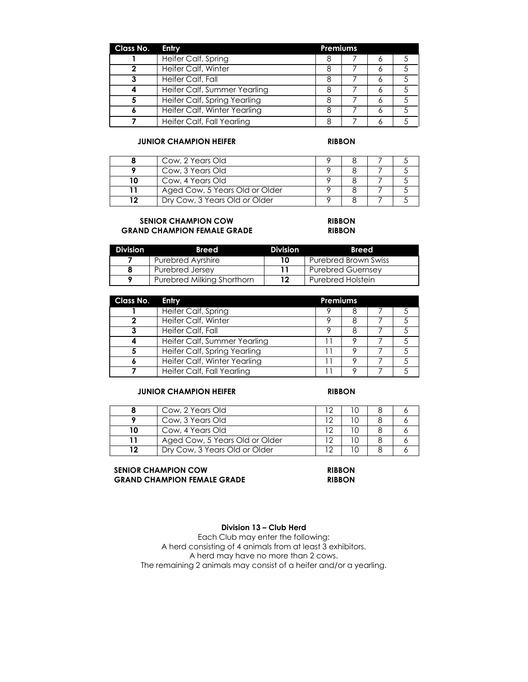| Class No. | Entry                        | <b>Premiums</b> |   |  |
|-----------|------------------------------|-----------------|---|--|
|           | Heifer Calf, Spring          |                 | o |  |
|           | Heifer Calf, Winter          |                 |   |  |
|           | Heifer Calf, Fall            |                 | o |  |
|           | Heifer Calf, Summer Yearling |                 | n |  |
|           | Heifer Calf, Spring Yearling |                 | Ô |  |
|           | Heifer Calf, Winter Yearling |                 |   |  |
|           | Heifer Calf, Fall Yearling   |                 |   |  |

# **JUNIOR CHAMPION HEIFER RIBBON**

| Cow, 2 Years Old               |  |  |
|--------------------------------|--|--|
| Cow, 3 Years Old               |  |  |
| Cow, 4 Years Old               |  |  |
| Aged Cow, 5 Years Old or Older |  |  |
| Dry Cow, 3 Years Old or Older  |  |  |

# **SENIOR CHAMPION COW RIBBON GRAND CHAMPION FEMALE GRADE RIBBON**

| <b>Division</b> | <b>Breed</b>               | <b>Division</b> | <b>Breed</b>                |
|-----------------|----------------------------|-----------------|-----------------------------|
|                 | Purebred Avrshire          | 10              | <b>Purebred Brown Swiss</b> |
|                 | Purebred Jersey            | 11              | <b>Purebred Guernsey</b>    |
|                 | Purebred Milking Shorthorn | 12              | <b>Purebred Holstein</b>    |

| Class No. | Entry                        | Premiums |  |  |
|-----------|------------------------------|----------|--|--|
|           | Heifer Calf, Spring          |          |  |  |
|           | Heifer Calf, Winter          |          |  |  |
|           | Heifer Calf, Fall            |          |  |  |
|           | Heifer Calf, Summer Yearling |          |  |  |
|           | Heifer Calf, Spring Yearling |          |  |  |
|           | Heifer Calf, Winter Yearling |          |  |  |
|           | Heifer Calf, Fall Yearling   |          |  |  |

### **JUNIOR CHAMPION HEIFER RIBBON**

| Cow, 2 Years Old               |  |  |
|--------------------------------|--|--|
| Cow, 3 Years Old               |  |  |
| Cow, 4 Years Old               |  |  |
| Aged Cow, 5 Years Old or Older |  |  |
| Dry Cow, 3 Years Old or Older  |  |  |

### **SENIOR CHAMPION COW RIBBON GRAND CHAMPION FEMALE GRADE RIBBON**

# **Division 13 – Club Herd**

Each Club may enter the following: A herd consisting of 4 animals from at least 3 exhibitors. A herd may have no more than 2 cows. The remaining 2 animals may consist of a heifer and/or a yearling.